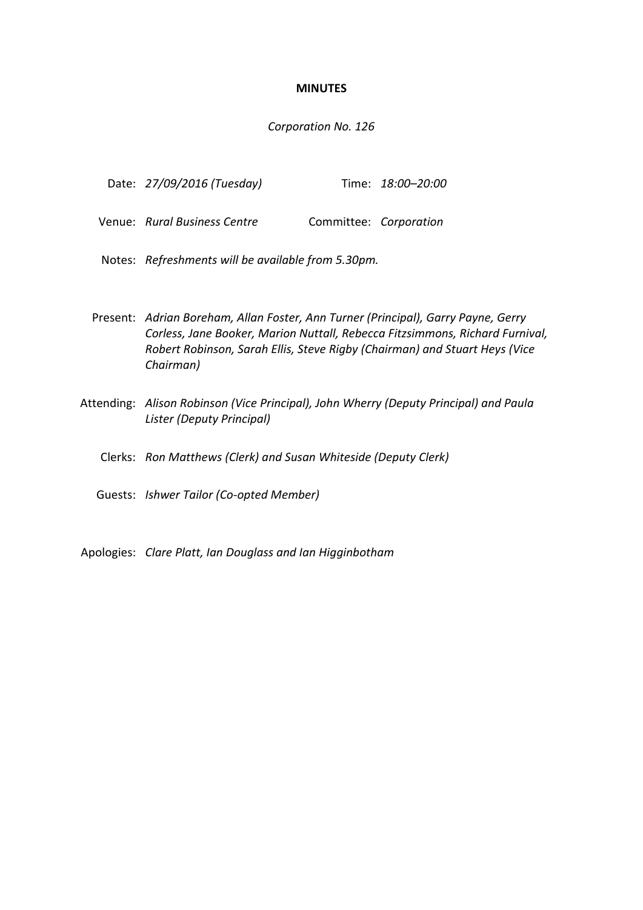## **MINUTES**

## *Corporation No. 126*

| Date: 27/09/2016 (Tuesday) |  | Time: 18:00-20:00 |
|----------------------------|--|-------------------|
|----------------------------|--|-------------------|

Venue: *Rural Business Centre* Committee: *Corporation* 

Notes: *Refreshments will be available from 5.30pm.*

- Present: *Adrian Boreham, Allan Foster, Ann Turner (Principal), Garry Payne, Gerry Corless, Jane Booker, Marion Nuttall, Rebecca Fitzsimmons, Richard Furnival, Robert Robinson, Sarah Ellis, Steve Rigby (Chairman) and Stuart Heys (Vice Chairman)*
- Attending: *Alison Robinson (Vice Principal), John Wherry (Deputy Principal) and Paula Lister (Deputy Principal)*
	- Clerks: *Ron Matthews (Clerk) and Susan Whiteside (Deputy Clerk)*
	- Guests: *Ishwer Tailor (Co-opted Member)*

Apologies: *Clare Platt, Ian Douglass and Ian Higginbotham*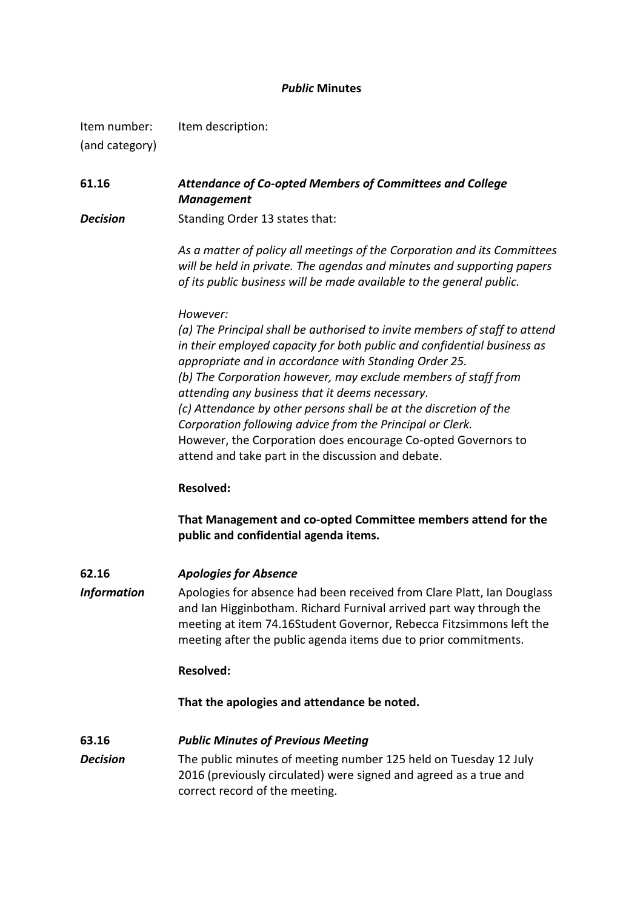## *Public* **Minutes**

Item number: Item description: (and category)

**61.16** *Attendance of Co-opted Members of Committees and College Management*

**Decision** Standing Order 13 states that:

*As a matter of policy all meetings of the Corporation and its Committees will be held in private. The agendas and minutes and supporting papers of its public business will be made available to the general public.*

#### *However:*

*(a) The Principal shall be authorised to invite members of staff to attend in their employed capacity for both public and confidential business as appropriate and in accordance with Standing Order 25. (b) The Corporation however, may exclude members of staff from attending any business that it deems necessary. (c) Attendance by other persons shall be at the discretion of the Corporation following advice from the Principal or Clerk.* However, the Corporation does encourage Co-opted Governors to attend and take part in the discussion and debate.

#### **Resolved:**

**That Management and co-opted Committee members attend for the public and confidential agenda items.**

**62.16** *Apologies for Absence*

*Information* Apologies for absence had been received from Clare Platt, Ian Douglass and Ian Higginbotham. Richard Furnival arrived part way through the meeting at item 74.16Student Governor, Rebecca Fitzsimmons left the meeting after the public agenda items due to prior commitments.

#### **Resolved:**

**That the apologies and attendance be noted.** 

#### **63.16** *Public Minutes of Previous Meeting*

*Decision* The public minutes of meeting number 125 held on Tuesday 12 July 2016 (previously circulated) were signed and agreed as a true and correct record of the meeting.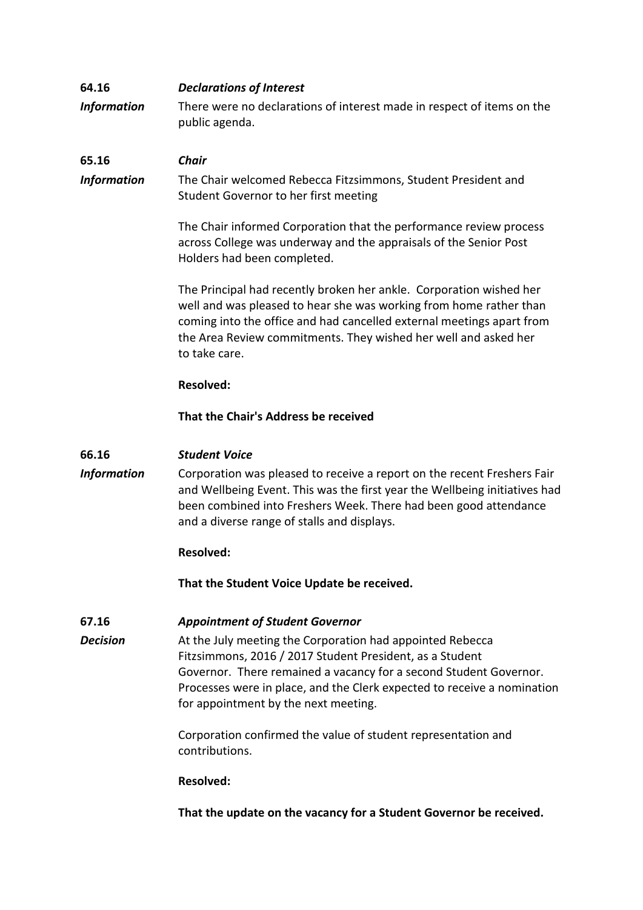# **64.16** *Declarations of Interest*

*Information* There were no declarations of interest made in respect of items on the public agenda.

# **65.16** *Chair*

*Information* The Chair welcomed Rebecca Fitzsimmons, Student President and Student Governor to her first meeting

> The Chair informed Corporation that the performance review process across College was underway and the appraisals of the Senior Post Holders had been completed.

The Principal had recently broken her ankle. Corporation wished her well and was pleased to hear she was working from home rather than coming into the office and had cancelled external meetings apart from the Area Review commitments. They wished her well and asked her to take care.

## **Resolved:**

## **That the Chair's Address be received**

## **66.16** *Student Voice*

*Information* Corporation was pleased to receive a report on the recent Freshers Fair and Wellbeing Event. This was the first year the Wellbeing initiatives had been combined into Freshers Week. There had been good attendance and a diverse range of stalls and displays.

## **Resolved:**

**That the Student Voice Update be received.**

## **67.16** *Appointment of Student Governor*

*Decision* At the July meeting the Corporation had appointed Rebecca Fitzsimmons, 2016 / 2017 Student President, as a Student Governor. There remained a vacancy for a second Student Governor. Processes were in place, and the Clerk expected to receive a nomination for appointment by the next meeting.

> Corporation confirmed the value of student representation and contributions.

## **Resolved:**

**That the update on the vacancy for a Student Governor be received.**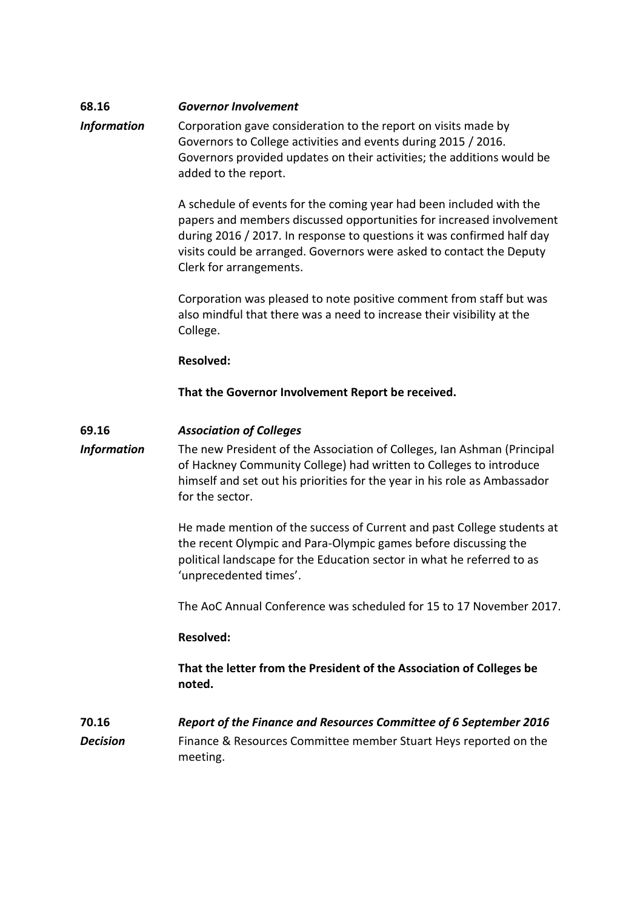# **68.16** *Governor Involvement*

*Information* Corporation gave consideration to the report on visits made by Governors to College activities and events during 2015 / 2016. Governors provided updates on their activities; the additions would be added to the report.

> A schedule of events for the coming year had been included with the papers and members discussed opportunities for increased involvement during 2016 / 2017. In response to questions it was confirmed half day visits could be arranged. Governors were asked to contact the Deputy Clerk for arrangements.

Corporation was pleased to note positive comment from staff but was also mindful that there was a need to increase their visibility at the College.

#### **Resolved:**

**That the Governor Involvement Report be received.**

## **69.16** *Association of Colleges*

*Information* The new President of the Association of Colleges, Ian Ashman (Principal of Hackney Community College) had written to Colleges to introduce himself and set out his priorities for the year in his role as Ambassador for the sector.

> He made mention of the success of Current and past College students at the recent Olympic and Para-Olympic games before discussing the political landscape for the Education sector in what he referred to as 'unprecedented times'.

> The AoC Annual Conference was scheduled for 15 to 17 November 2017.

## **Resolved:**

**That the letter from the President of the Association of Colleges be noted.** 

**70.16** *Report of the Finance and Resources Committee of 6 September 2016* **Decision** Finance & Resources Committee member Stuart Heys reported on the meeting.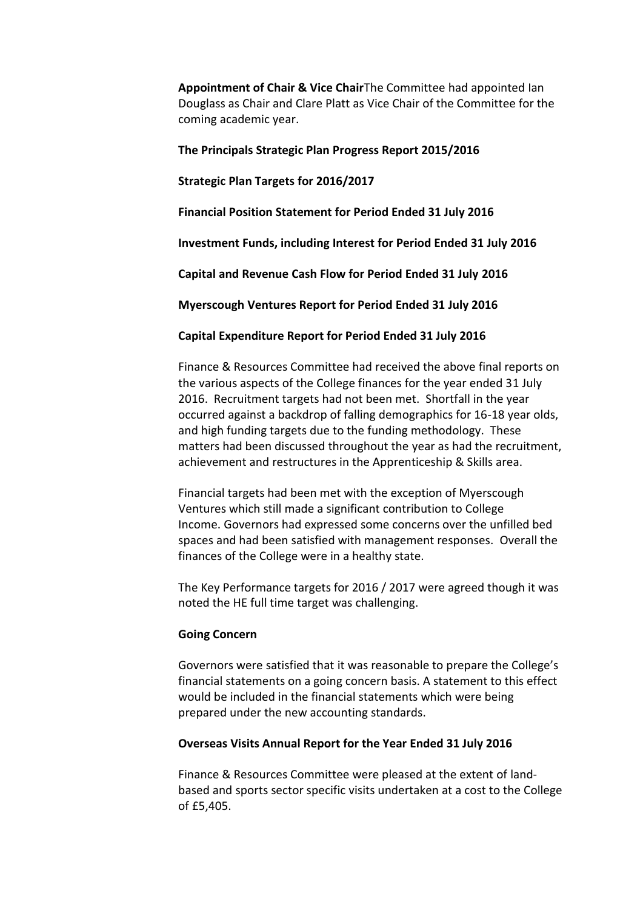**Appointment of Chair & Vice Chair**The Committee had appointed Ian Douglass as Chair and Clare Platt as Vice Chair of the Committee for the coming academic year.

## **The Principals Strategic Plan Progress Report 2015/2016**

## **Strategic Plan Targets for 2016/2017**

**Financial Position Statement for Period Ended 31 July 2016** 

**Investment Funds, including Interest for Period Ended 31 July 2016**

**Capital and Revenue Cash Flow for Period Ended 31 July 2016**

**Myerscough Ventures Report for Period Ended 31 July 2016**

**Capital Expenditure Report for Period Ended 31 July 2016**

Finance & Resources Committee had received the above final reports on the various aspects of the College finances for the year ended 31 July 2016. Recruitment targets had not been met. Shortfall in the year occurred against a backdrop of falling demographics for 16-18 year olds, and high funding targets due to the funding methodology. These matters had been discussed throughout the year as had the recruitment, achievement and restructures in the Apprenticeship & Skills area.

Financial targets had been met with the exception of Myerscough Ventures which still made a significant contribution to College Income. Governors had expressed some concerns over the unfilled bed spaces and had been satisfied with management responses. Overall the finances of the College were in a healthy state.

The Key Performance targets for 2016 / 2017 were agreed though it was noted the HE full time target was challenging.

#### **Going Concern**

Governors were satisfied that it was reasonable to prepare the College's financial statements on a going concern basis. A statement to this effect would be included in the financial statements which were being prepared under the new accounting standards.

#### **Overseas Visits Annual Report for the Year Ended 31 July 2016**

Finance & Resources Committee were pleased at the extent of landbased and sports sector specific visits undertaken at a cost to the College of £5,405.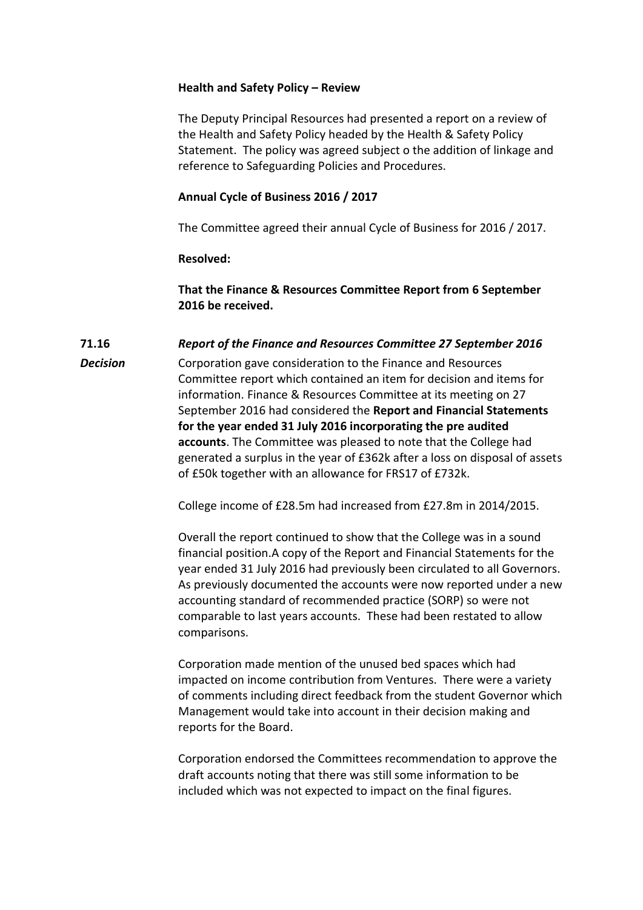## **Health and Safety Policy – Review**

The Deputy Principal Resources had presented a report on a review of the Health and Safety Policy headed by the Health & Safety Policy Statement. The policy was agreed subject o the addition of linkage and reference to Safeguarding Policies and Procedures.

## **Annual Cycle of Business 2016 / 2017**

The Committee agreed their annual Cycle of Business for 2016 / 2017.

#### **Resolved:**

**That the Finance & Resources Committee Report from 6 September 2016 be received.**

#### **71.16** *Report of the Finance and Resources Committee 27 September 2016*

**Decision** Corporation gave consideration to the Finance and Resources Committee report which contained an item for decision and items for information. Finance & Resources Committee at its meeting on 27 September 2016 had considered the **Report and Financial Statements for the year ended 31 July 2016 incorporating the pre audited accounts**. The Committee was pleased to note that the College had generated a surplus in the year of £362k after a loss on disposal of assets of £50k together with an allowance for FRS17 of £732k.

College income of £28.5m had increased from £27.8m in 2014/2015.

Overall the report continued to show that the College was in a sound financial position.A copy of the Report and Financial Statements for the year ended 31 July 2016 had previously been circulated to all Governors. As previously documented the accounts were now reported under a new accounting standard of recommended practice (SORP) so were not comparable to last years accounts. These had been restated to allow comparisons.

Corporation made mention of the unused bed spaces which had impacted on income contribution from Ventures. There were a variety of comments including direct feedback from the student Governor which Management would take into account in their decision making and reports for the Board.

Corporation endorsed the Committees recommendation to approve the draft accounts noting that there was still some information to be included which was not expected to impact on the final figures.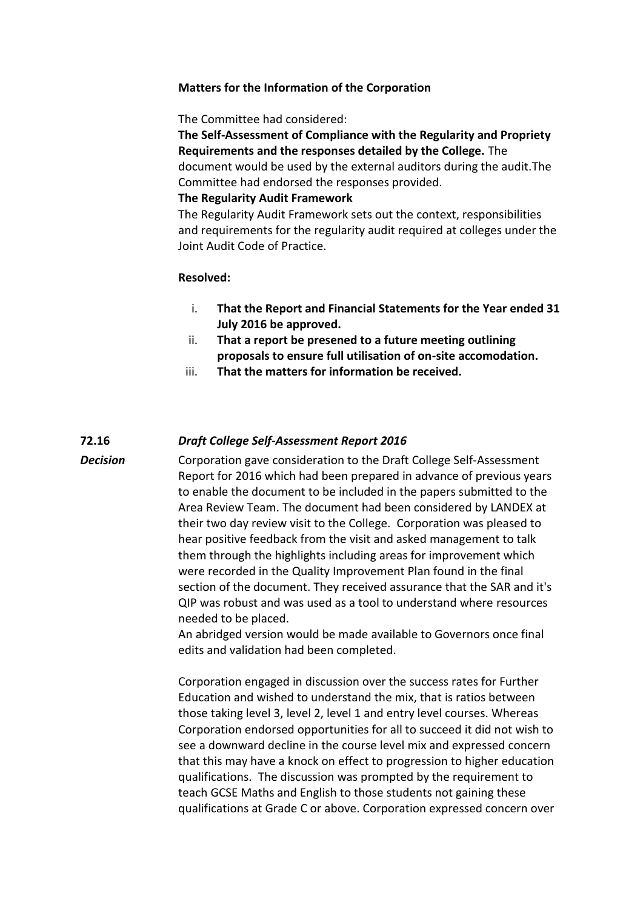## **Matters for the Information of the Corporation**

The Committee had considered:

**The Self-Assessment of Compliance with the Regularity and Propriety Requirements and the responses detailed by the College.** The document would be used by the external auditors during the audit.The Committee had endorsed the responses provided.

#### **The Regularity Audit Framework**

The Regularity Audit Framework sets out the context, responsibilities and requirements for the regularity audit required at colleges under the Joint Audit Code of Practice.

## **Resolved:**

- i. **That the Report and Financial Statements for the Year ended 31 July 2016 be approved.**
- ii. **That a report be presened to a future meeting outlining proposals to ensure full utilisation of on-site accomodation.**
- iii. **That the matters for information be received.**

# **72.16** *Draft College Self-Assessment Report 2016*

**Decision** Corporation gave consideration to the Draft College Self-Assessment Report for 2016 which had been prepared in advance of previous years to enable the document to be included in the papers submitted to the Area Review Team. The document had been considered by LANDEX at their two day review visit to the College. Corporation was pleased to hear positive feedback from the visit and asked management to talk them through the highlights including areas for improvement which were recorded in the Quality Improvement Plan found in the final section of the document. They received assurance that the SAR and it's QIP was robust and was used as a tool to understand where resources needed to be placed.

> An abridged version would be made available to Governors once final edits and validation had been completed.

Corporation engaged in discussion over the success rates for Further Education and wished to understand the mix, that is ratios between those taking level 3, level 2, level 1 and entry level courses. Whereas Corporation endorsed opportunities for all to succeed it did not wish to see a downward decline in the course level mix and expressed concern that this may have a knock on effect to progression to higher education qualifications. The discussion was prompted by the requirement to teach GCSE Maths and English to those students not gaining these qualifications at Grade C or above. Corporation expressed concern over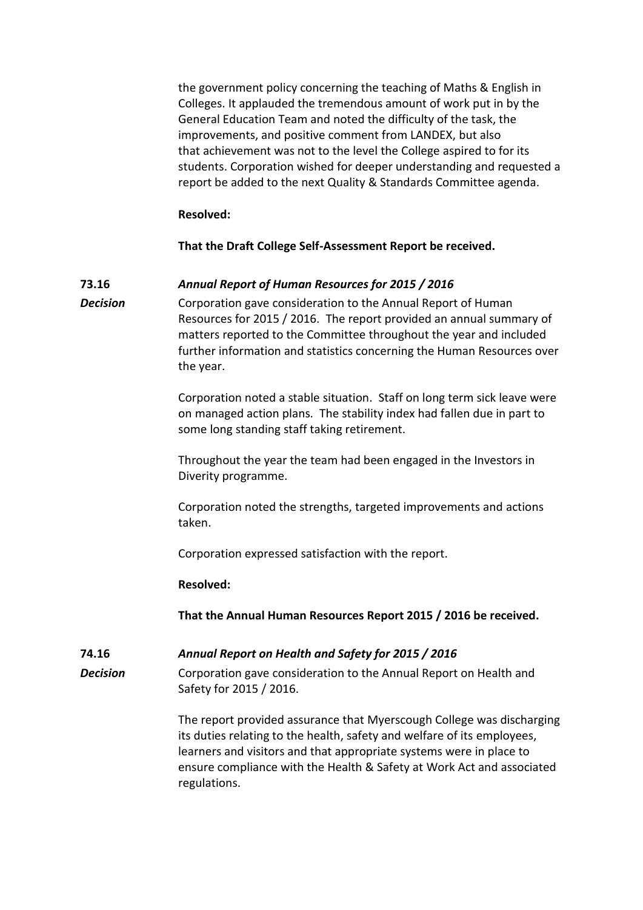the government policy concerning the teaching of Maths & English in Colleges. It applauded the tremendous amount of work put in by the General Education Team and noted the difficulty of the task, the improvements, and positive comment from LANDEX, but also that achievement was not to the level the College aspired to for its students. Corporation wished for deeper understanding and requested a report be added to the next Quality & Standards Committee agenda.

## **Resolved:**

**That the Draft College Self-Assessment Report be received.**

# **73.16** *Annual Report of Human Resources for 2015 / 2016*

*Decision* Corporation gave consideration to the Annual Report of Human Resources for 2015 / 2016. The report provided an annual summary of matters reported to the Committee throughout the year and included further information and statistics concerning the Human Resources over the year.

> Corporation noted a stable situation. Staff on long term sick leave were on managed action plans. The stability index had fallen due in part to some long standing staff taking retirement.

Throughout the year the team had been engaged in the Investors in Diverity programme.

Corporation noted the strengths, targeted improvements and actions taken.

Corporation expressed satisfaction with the report.

#### **Resolved:**

**That the Annual Human Resources Report 2015 / 2016 be received.**

**74.16** *Annual Report on Health and Safety for 2015 / 2016*

**Decision** Corporation gave consideration to the Annual Report on Health and Safety for 2015 / 2016.

> The report provided assurance that Myerscough College was discharging its duties relating to the health, safety and welfare of its employees, learners and visitors and that appropriate systems were in place to ensure compliance with the Health & Safety at Work Act and associated regulations.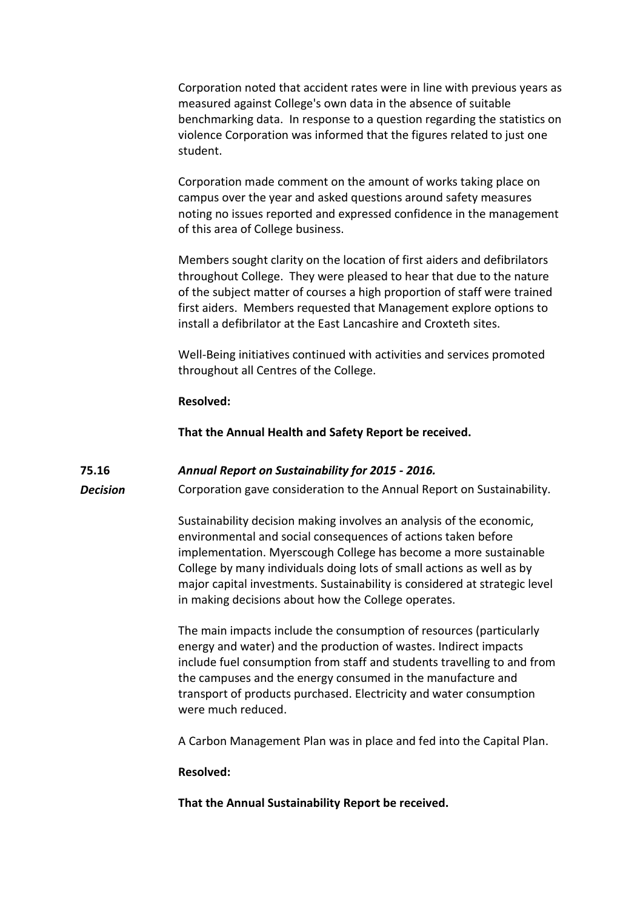Corporation noted that accident rates were in line with previous years as measured against College's own data in the absence of suitable benchmarking data. In response to a question regarding the statistics on violence Corporation was informed that the figures related to just one student.

Corporation made comment on the amount of works taking place on campus over the year and asked questions around safety measures noting no issues reported and expressed confidence in the management of this area of College business.

Members sought clarity on the location of first aiders and defibrilators throughout College. They were pleased to hear that due to the nature of the subject matter of courses a high proportion of staff were trained first aiders. Members requested that Management explore options to install a defibrilator at the East Lancashire and Croxteth sites.

Well-Being initiatives continued with activities and services promoted throughout all Centres of the College.

#### **Resolved:**

**That the Annual Health and Safety Report be received.**

## **75.16** *Annual Report on Sustainability for 2015 - 2016.*

**Decision** Corporation gave consideration to the Annual Report on Sustainability.

Sustainability decision making involves an analysis of the economic, environmental and social consequences of actions taken before implementation. Myerscough College has become a more sustainable College by many individuals doing lots of small actions as well as by major capital investments. Sustainability is considered at strategic level in making decisions about how the College operates.

The main impacts include the consumption of resources (particularly energy and water) and the production of wastes. Indirect impacts include fuel consumption from staff and students travelling to and from the campuses and the energy consumed in the manufacture and transport of products purchased. Electricity and water consumption were much reduced.

A Carbon Management Plan was in place and fed into the Capital Plan.

#### **Resolved:**

**That the Annual Sustainability Report be received.**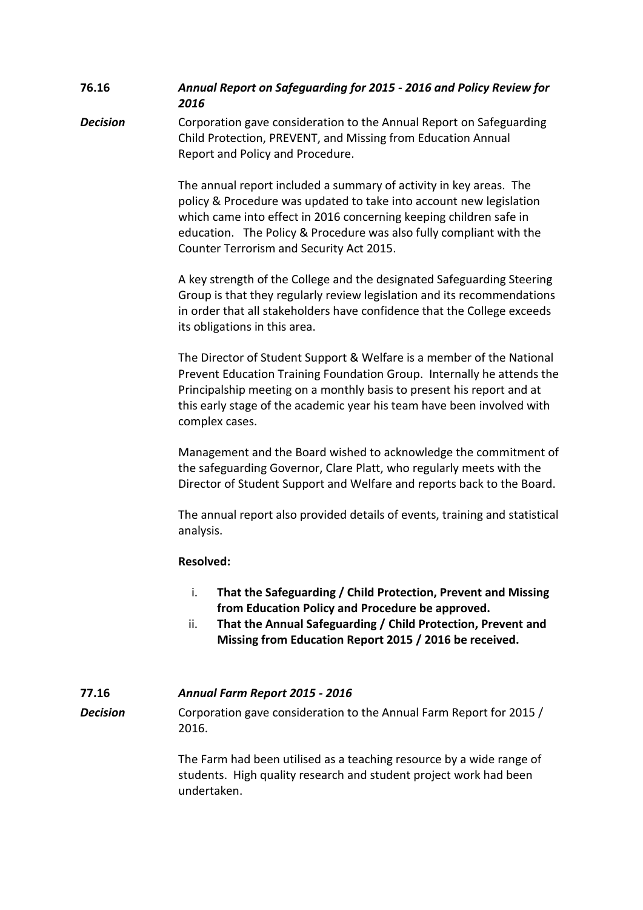# **76.16** *Annual Report on Safeguarding for 2015 - 2016 and Policy Review for 2016*

**Decision** Corporation gave consideration to the Annual Report on Safeguarding Child Protection, PREVENT, and Missing from Education Annual Report and Policy and Procedure.

> The annual report included a summary of activity in key areas. The policy & Procedure was updated to take into account new legislation which came into effect in 2016 concerning keeping children safe in education. The Policy & Procedure was also fully compliant with the Counter Terrorism and Security Act 2015.

A key strength of the College and the designated Safeguarding Steering Group is that they regularly review legislation and its recommendations in order that all stakeholders have confidence that the College exceeds its obligations in this area.

The Director of Student Support & Welfare is a member of the National Prevent Education Training Foundation Group. Internally he attends the Principalship meeting on a monthly basis to present his report and at this early stage of the academic year his team have been involved with complex cases.

Management and the Board wished to acknowledge the commitment of the safeguarding Governor, Clare Platt, who regularly meets with the Director of Student Support and Welfare and reports back to the Board.

The annual report also provided details of events, training and statistical analysis.

# **Resolved:**

- i. **That the Safeguarding / Child Protection, Prevent and Missing from Education Policy and Procedure be approved.**
- ii. **That the Annual Safeguarding / Child Protection, Prevent and Missing from Education Report 2015 / 2016 be received.**

# **77.16** *Annual Farm Report 2015 - 2016*

**Decision** Corporation gave consideration to the Annual Farm Report for 2015 / 2016.

> The Farm had been utilised as a teaching resource by a wide range of students. High quality research and student project work had been undertaken.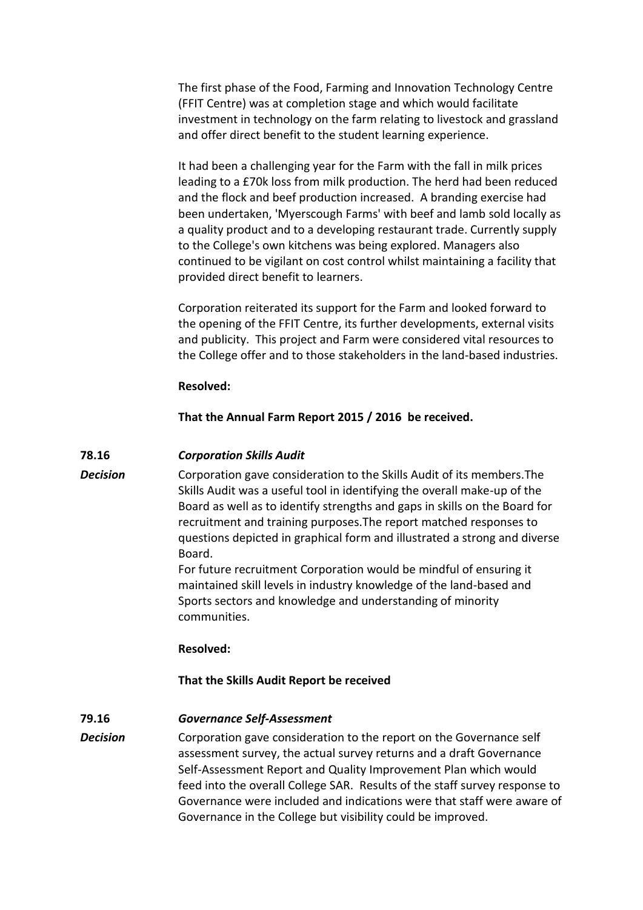The first phase of the Food, Farming and Innovation Technology Centre (FFIT Centre) was at completion stage and which would facilitate investment in technology on the farm relating to livestock and grassland and offer direct benefit to the student learning experience.

It had been a challenging year for the Farm with the fall in milk prices leading to a £70k loss from milk production. The herd had been reduced and the flock and beef production increased. A branding exercise had been undertaken, 'Myerscough Farms' with beef and lamb sold locally as a quality product and to a developing restaurant trade. Currently supply to the College's own kitchens was being explored. Managers also continued to be vigilant on cost control whilst maintaining a facility that provided direct benefit to learners.

Corporation reiterated its support for the Farm and looked forward to the opening of the FFIT Centre, its further developments, external visits and publicity. This project and Farm were considered vital resources to the College offer and to those stakeholders in the land-based industries.

## **Resolved:**

## **That the Annual Farm Report 2015 / 2016 be received.**

#### **78.16** *Corporation Skills Audit*

**Decision** Corporation gave consideration to the Skills Audit of its members. The Skills Audit was a useful tool in identifying the overall make-up of the Board as well as to identify strengths and gaps in skills on the Board for recruitment and training purposes.The report matched responses to questions depicted in graphical form and illustrated a strong and diverse Board.

> For future recruitment Corporation would be mindful of ensuring it maintained skill levels in industry knowledge of the land-based and Sports sectors and knowledge and understanding of minority communities.

#### **Resolved:**

## **That the Skills Audit Report be received**

## **79.16** *Governance Self-Assessment*

**Decision** Corporation gave consideration to the report on the Governance self assessment survey, the actual survey returns and a draft Governance Self-Assessment Report and Quality Improvement Plan which would feed into the overall College SAR. Results of the staff survey response to Governance were included and indications were that staff were aware of Governance in the College but visibility could be improved.